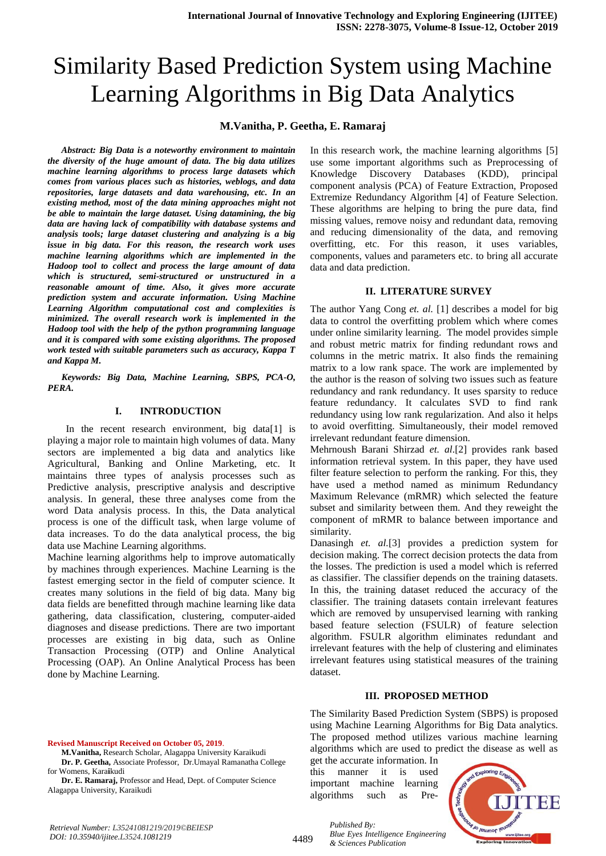# Similarity Based Prediction System using Machine Learning Algorithms in Big Data Analytics

#### **M.Vanitha, P. Geetha, E. Ramaraj**

*Abstract: Big Data is a noteworthy environment to maintain the diversity of the huge amount of data. The big data utilizes machine learning algorithms to process large datasets which comes from various places such as histories, weblogs, and data repositories, large datasets and data warehousing, etc. In an existing method, most of the data mining approaches might not be able to maintain the large dataset. Using datamining, the big data are having lack of compatibility with database systems and analysis tools; large dataset clustering and analyzing is a big issue in big data. For this reason, the research work uses machine learning algorithms which are implemented in the Hadoop tool to collect and process the large amount of data which is structured, semi-structured or unstructured in a reasonable amount of time. Also, it gives more accurate prediction system and accurate information. Using Machine Learning Algorithm computational cost and complexities is minimized. The overall research work is implemented in the Hadoop tool with the help of the python programming language and it is compared with some existing algorithms. The proposed work tested with suitable parameters such as accuracy, Kappa T and Kappa M.* 

*Keywords: Big Data, Machine Learning, SBPS, PCA-O, PERA.*

#### **I. INTRODUCTION**

In the recent research environment, big data[1] is playing a major role to maintain high volumes of data. Many sectors are implemented a big data and analytics like Agricultural, Banking and Online Marketing, etc. It maintains three types of analysis processes such as Predictive analysis, prescriptive analysis and descriptive analysis. In general, these three analyses come from the word Data analysis process. In this, the Data analytical process is one of the difficult task, when large volume of data increases. To do the data analytical process, the big data use Machine Learning algorithms.

Machine learning algorithms help to improve automatically by machines through experiences. Machine Learning is the fastest emerging sector in the field of computer science. It creates many solutions in the field of big data. Many big data fields are benefitted through machine learning like data gathering, data classification, clustering, computer-aided diagnoses and disease predictions. There are two important processes are existing in big data, such as Online Transaction Processing (OTP) and Online Analytical Processing (OAP). An Online Analytical Process has been done by Machine Learning.

**Revised Manuscript Received on October 05, 2019**.

**M.Vanitha,** Research Scholar, Alagappa University Karaikudi **Dr. P. Geetha,** Associate Professor, Dr.Umayal Ramanatha College for Womens, Kara**i**kudi

**Dr. E. Ramaraj,** Professor and Head, Dept. of Computer Science Alagappa University, Karaikudi

In this research work, the machine learning algorithms [5] use some important algorithms such as Preprocessing of Knowledge Discovery Databases (KDD), principal component analysis (PCA) of Feature Extraction, Proposed Extremize Redundancy Algorithm [4] of Feature Selection. These algorithms are helping to bring the pure data, find missing values, remove noisy and redundant data, removing and reducing dimensionality of the data, and removing overfitting, etc. For this reason, it uses variables, components, values and parameters etc. to bring all accurate data and data prediction.

#### **II. LITERATURE SURVEY**

The author Yang Cong *et. al.* [1] describes a model for big data to control the overfitting problem which where comes under online similarity learning. The model provides simple and robust metric matrix for finding redundant rows and columns in the metric matrix. It also finds the remaining matrix to a low rank space. The work are implemented by the author is the reason of solving two issues such as feature redundancy and rank redundancy. It uses sparsity to reduce feature redundancy. It calculates SVD to find rank redundancy using low rank regularization. And also it helps to avoid overfitting. Simultaneously, their model removed irrelevant redundant feature dimension.

Mehrnoush Barani Shirzad *et. al*.[2] provides rank based information retrieval system. In this paper, they have used filter feature selection to perform the ranking. For this, they have used a method named as minimum Redundancy Maximum Relevance (mRMR) which selected the feature subset and similarity between them. And they reweight the component of mRMR to balance between importance and similarity.

Danasingh *et. al.*[3] provides a prediction system for decision making. The correct decision protects the data from the losses. The prediction is used a model which is referred as classifier. The classifier depends on the training datasets. In this, the training dataset reduced the accuracy of the classifier. The training datasets contain irrelevant features which are removed by unsupervised learning with ranking based feature selection (FSULR) of feature selection algorithm. FSULR algorithm eliminates redundant and irrelevant features with the help of clustering and eliminates irrelevant features using statistical measures of the training dataset.

#### **III. PROPOSED METHOD**

The Similarity Based Prediction System (SBPS) is proposed using Machine Learning Algorithms for Big Data analytics. The proposed method utilizes various machine learning algorithms which are used to predict the disease as well as

get the accurate information. In this manner it is used important machine learning algorithms such as Pre-



4489

*Published By: Blue Eyes Intelligence Engineering & Sciences Publication*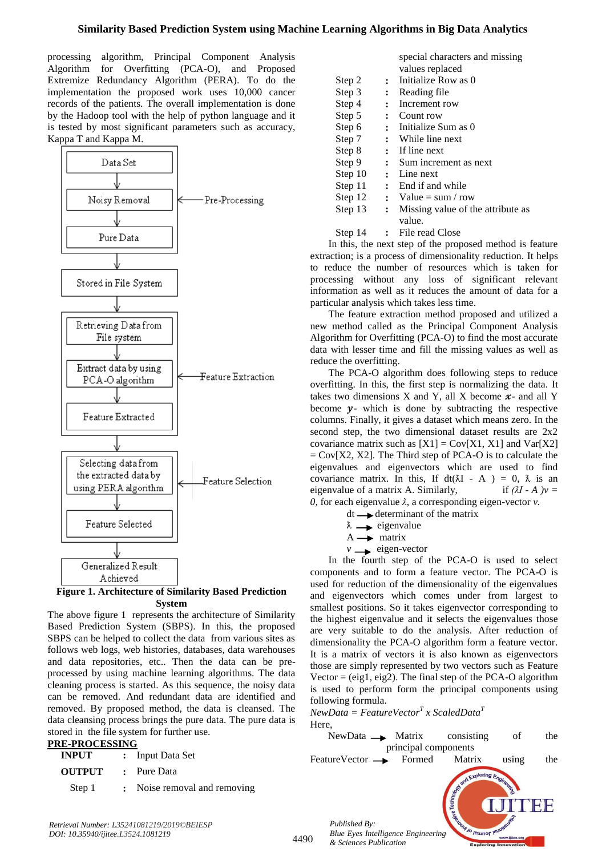processing algorithm, Principal Component Analysis Algorithm for Overfitting (PCA-O), and Proposed Extremize Redundancy Algorithm (PERA). To do the implementation the proposed work uses 10,000 cancer records of the patients. The overall implementation is done by the Hadoop tool with the help of python language and it is tested by most significant parameters such as accuracy, Kappa T and Kappa M.



**Figure 1. Architecture of Similarity Based Prediction System**

The above figure 1 represents the architecture of Similarity Based Prediction System (SBPS). In this, the proposed SBPS can be helped to collect the data from various sites as follows web logs, web histories, databases, data warehouses and data repositories, etc.. Then the data can be preprocessed by using machine learning algorithms. The data cleaning process is started. As this sequence, the noisy data can be removed. And redundant data are identified and removed. By proposed method, the data is cleansed. The data cleansing process brings the pure data. The pure data is stored in the file system for further use.

#### **PRE-PROCESSING**

| <b>INPUT</b><br>: Input Data Set |  |                              |
|----------------------------------|--|------------------------------|
| <b>OUTPUT</b> : Pure Data        |  |                              |
| Step 1                           |  | : Noise removal and removing |

|         |                      | Special characters and imssing    |  |
|---------|----------------------|-----------------------------------|--|
|         |                      | values replaced                   |  |
| Step 2  | $\mathbf{r}$         | Initialize Row as 0               |  |
| Step 3  | $\ddot{\cdot}$       | Reading file                      |  |
| Step 4  | $\ddot{\cdot}$       | Increment row                     |  |
| Step 5  | $\ddot{\cdot}$       | Count row                         |  |
| Step 6  | $\ddot{\cdot}$       | Initialize Sum as 0               |  |
| Step 7  | $\ddot{\cdot}$       | While line next                   |  |
| Step 8  |                      | $:$ If line next                  |  |
| Step 9  | $\mathbf{r}$         | Sum increment as next             |  |
| Step 10 |                      | $:$ Line next                     |  |
| Step 11 |                      | : End if and while                |  |
| Step 12 |                      | : Value = sum / row               |  |
| Step 13 | $\ddot{\phantom{a}}$ | Missing value of the attribute as |  |
|         |                      | value.                            |  |
| Step 14 |                      | File read Close                   |  |

special characters and missing

In this, the next step of the proposed method is feature extraction; is a process of dimensionality reduction. It helps to reduce the number of resources which is taken for processing without any loss of significant relevant information as well as it reduces the amount of data for a particular analysis which takes less time.

The feature extraction method proposed and utilized a new method called as the Principal Component Analysis Algorithm for Overfitting (PCA-O) to find the most accurate data with lesser time and fill the missing values as well as reduce the overfitting.

The PCA-O algorithm does following steps to reduce overfitting. In this, the first step is normalizing the data. It takes two dimensions X and Y, all X become  $x$ - and all Y become  $\nu$ - which is done by subtracting the respective columns. Finally, it gives a dataset which means zero. In the second step, the two dimensional dataset results are 2x2 covariance matrix such as  $[X1] = \text{Cov}[X1, X1]$  and  $\text{Var}[X2]$  $=$  Cov[X2, X2]. The Third step of PCA-O is to calculate the eigenvalues and eigenvectors which are used to find covariance matrix. In this, If  $dt(\lambda I - A) = 0$ ,  $\lambda$  is an eigenvalue of a matrix A. Similarly, if  $(\lambda I - A) v =$ *0,* for each eigenvalue  $\lambda$ , a corresponding eigen-vector  $\nu$ .

 $dt \longrightarrow$  determinant of the matrix

- $\lambda \rightarrow$  eigenvalue
- $A \rightarrow$  matrix
- $v \rightarrow$  eigen-vector

In the fourth step of the PCA-O is used to select components and to form a feature vector. The PCA-O is used for reduction of the dimensionality of the eigenvalues and eigenvectors which comes under from largest to smallest positions. So it takes eigenvector corresponding to the highest eigenvalue and it selects the eigenvalues those are very suitable to do the analysis. After reduction of dimensionality the PCA-O algorithm form a feature vector. It is a matrix of vectors it is also known as eigenvectors those are simply represented by two vectors such as Feature Vector  $=$  (eig1, eig2). The final step of the PCA-O algorithm is used to perform form the principal components using following formula.

*NewData = FeatureVector<sup>T</sup> x ScaledData<sup>T</sup>*

# Here, NewData Matrix consisting of the principal components FeatureVector  $\longrightarrow$  Formed Matrix using the *Published By:* U<sub>JO</sub> reumor le *Blue Eyes Intelligence Engineering & Sciences Publication*

*Retrieval Number: L35241081219/2019©BEIESP DOI: 10.35940/ijitee.L3524.1081219*

4490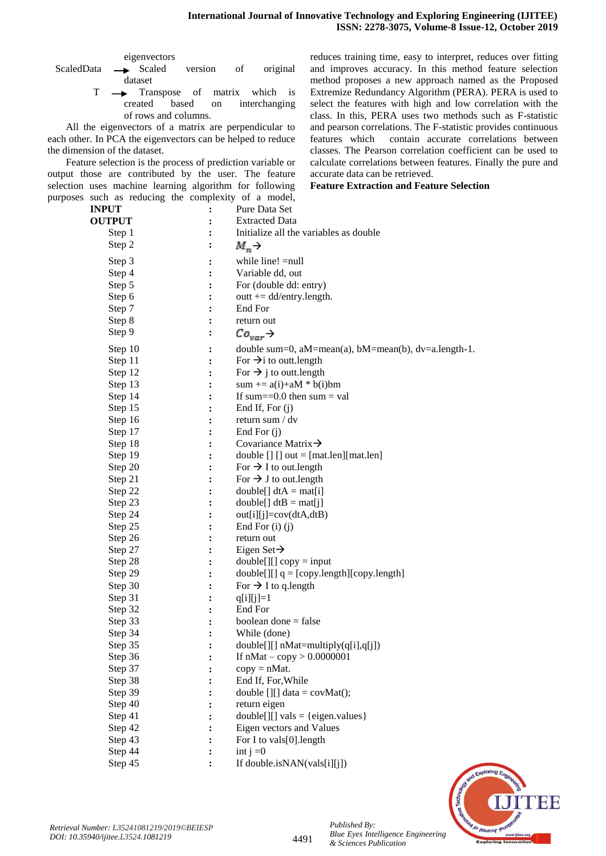eigenvectors

- ScaledData 
ightarrow Scaled version of original dataset
	- $T \longrightarrow$  Transpose of matrix which is created based on interchanging of rows and columns.

All the eigenvectors of a matrix are perpendicular to each other. In PCA the eigenvectors can be helped to reduce the dimension of the dataset.

Feature selection is the process of prediction variable or output those are contributed by the user. The feature selection uses machine learning algorithm for following purposes such as reducing the complexity of a model, reduces training time, easy to interpret, reduces over fitting and improves accuracy. In this method feature selection method proposes a new approach named as the Proposed Extremize Redundancy Algorithm (PERA). PERA is used to select the features with high and low correlation with the class. In this, PERA uses two methods such as F-statistic and pearson correlations. The F-statistic provides continuous features which contain accurate correlations between classes. The Pearson correlation coefficient can be used to calculate correlations between features. Finally the pure and accurate data can be retrieved.

**Feature Extraction and Feature Selection**

| <b>INPUT</b>  | $\ddot{\cdot}$ | Pure Data Set                                                         |
|---------------|----------------|-----------------------------------------------------------------------|
| <b>OUTPUT</b> | ፡              | <b>Extracted Data</b>                                                 |
| Step 1        |                | Initialize all the variables as double                                |
| Step 2        | ፡              | $M_n \rightarrow$                                                     |
| Step 3        | :              | while line! = null                                                    |
| Step 4        | $\ddot{\cdot}$ | Variable dd, out                                                      |
| Step 5        |                | For (double dd: entry)                                                |
| Step 6        | :              | outt $+=$ dd/entry.length.                                            |
| Step 7        | ፡              | End For                                                               |
| Step 8        |                | return out                                                            |
| Step 9        | :              | $Co_{var} \rightarrow$                                                |
| Step 10       | $\ddot{\cdot}$ | double sum=0, $aM = mean(a)$ , $bM = mean(b)$ , $dv = a.length - 1$ . |
| Step 11       | :              | For $\rightarrow$ i to outt. length                                   |
| Step 12       | :              | For $\rightarrow$ j to outt. length                                   |
| Step 13       |                | sum += $a(i)$ +aM * $b(i)$ bm                                         |
| Step 14       |                | If sum== $0.0$ then sum = val                                         |
| Step 15       |                | End If, For (j)                                                       |
| Step 16       |                | return sum / dv                                                       |
| Step 17       |                | End For (j)                                                           |
| Step 18       | :              | Covariance Matrix $\rightarrow$                                       |
| Step 19       | :              | double $[]$ $[]$ out = $[mat.length]$ $[mat.length]$                  |
| Step 20       | $\ddot{\cdot}$ | For $\rightarrow$ I to out.length                                     |
| Step 21       | $\ddot{\cdot}$ | For $\rightarrow$ J to out.length                                     |
| Step 22       | $\ddot{\cdot}$ | $double[] dtA = mat[i]$                                               |
| Step 23       | :              | $double[] dtB = mat[j]$                                               |
| Step 24       | :              | $out[i][j] = cov(dtA,dtB)$                                            |
| Step 25       | :              | End For $(i)$ $(i)$                                                   |
| Step 26       | :              | return out                                                            |
| Step 27       | :              | Eigen Set $\rightarrow$                                               |
| Step 28       | ፡              | $double[][] copy = input$                                             |
| Step 29       | $\ddot{\cdot}$ | $double[][] q = [copy.length][copy.length]$                           |
| Step 30       |                | For $\rightarrow$ I to q.length                                       |
| Step 31       | $\ddot{\cdot}$ | $q[i][j]=1$                                                           |
| Step 32       | $\ddot{\cdot}$ | End For                                                               |
| Step 33       |                | boolean done $=$ false                                                |
| Step 34       |                | While (done)                                                          |
| Step 35       | $\ddot{\cdot}$ | double[][] nMat=multiply(q[i],q[j])                                   |
| Step 36       | $\cdot$        | If $nMat - copy > 0.0000001$                                          |
| Step 37       |                | $copy = nMat.$                                                        |
| Step 38       |                | End If, For, While                                                    |
| Step 39       |                | double $[$ [][] data = covMat();                                      |
| Step 40       |                | return eigen                                                          |
| Step 41       |                | $double[][] vals = {eigen.values}$                                    |
| Step 42       | $\ddot{\cdot}$ | Eigen vectors and Values                                              |
| Step 43       |                | For I to vals[0].length                                               |
| Step 44       |                | int $j = 0$                                                           |
| Step 45       |                | If double.isNAN(vals[i][j])                                           |



*Published By:*

*& Sciences Publication* 

*Blue Eyes Intelligence Engineering*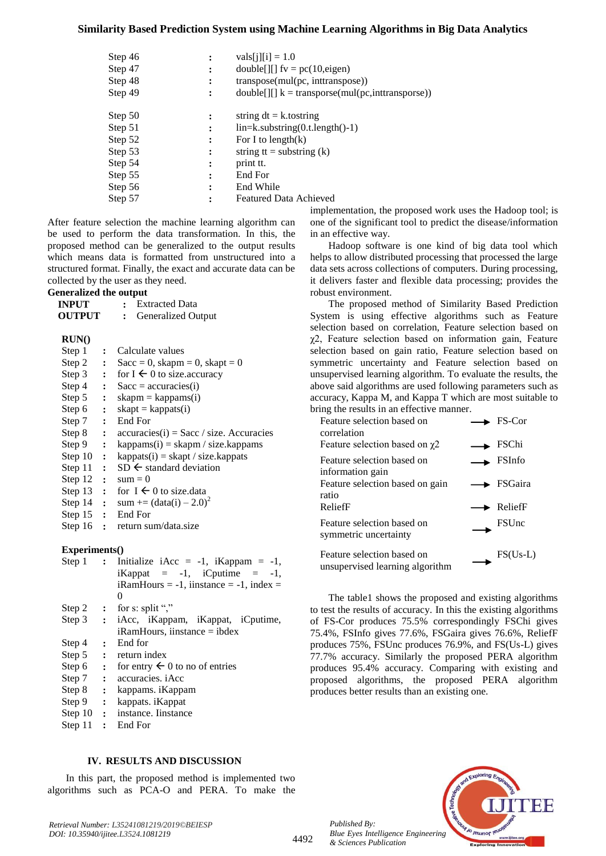#### **Similarity Based Prediction System using Machine Learning Algorithms in Big Data Analytics**

| Step 46<br>Step 47<br>Step 48<br>Step 49 | ፡<br>፡ | $vals[i][i] = 1.0$<br>double[][] $fv = pc(10, eigen)$<br>transpose(mul(pc, inttranspose))<br>$double$ [][] $k = \text{transpose}(mul(pc, intranspose))$ |
|------------------------------------------|--------|---------------------------------------------------------------------------------------------------------------------------------------------------------|
| Step 50                                  |        | string $dt = k$ to the string                                                                                                                           |
| Step 51                                  | ፡      | lin=k.substring(0.t.length()-1)                                                                                                                         |
| Step 52                                  | ፡      | For I to length $(k)$                                                                                                                                   |
| Step 53                                  | ፡      | string $tt =$ substring $(k)$                                                                                                                           |
| Step 54                                  |        | print tt.                                                                                                                                               |
| Step 55                                  |        | End For                                                                                                                                                 |
| Step 56                                  | ٠      | End While                                                                                                                                               |
| Step 57                                  |        | <b>Featured Data Achieved</b>                                                                                                                           |

After feature selection the machine learning algorithm can be used to perform the data transformation. In this, the proposed method can be generalized to the output results which means data is formatted from unstructured into a structured format. Finally, the exact and accurate data can be collected by the user as they need.

#### **Generalized the output**

| <b>INPUT</b>   |              | : Extracted Data                          |
|----------------|--------------|-------------------------------------------|
| OUTPUT :       |              | Generalized Output                        |
| RUN()          |              |                                           |
| Step 1         | $\mathbf{L}$ | Calculate values                          |
| Step $2$ :     |              | $Sacc = 0$ , skapm = 0, skapt = 0         |
| Step $3$ :     |              | for $I \leftarrow 0$ to size accuracy     |
| Step 4 :       |              | $Sacc = accuracies(i)$                    |
| Step $5$ :     |              | $skapm = kappams(i)$                      |
| Step $6:$      |              | $skapt = kappats(i)$                      |
| Step 7 $\cdot$ |              | End For                                   |
| Step $8$ :     |              | $accuracies(i) = Sacc / size. Accuracies$ |
| Step 9 $\cdot$ |              | $kappams(i) = skapm / size.kappams$       |
| Step $10$ :    |              | $kappats(i) = skapt / size.kappats$       |
| Step $11$ :    |              | $SD \leftarrow$ standard deviation        |
| Step $12$ :    |              | $sum = 0$                                 |
| Step $13$ :    |              | for $I \leftarrow 0$ to size data         |
| Step $14$ :    |              | sum += $(data(i) - 2.0)^2$                |
| Step $15$ :    |              | End For                                   |
|                |              | Step $16$ : return sum/data.size          |
| Experiments()  |              |                                           |

| Step 1      |                | : Initialize iAcc = $-1$ , iKappam = $-1$ , |
|-------------|----------------|---------------------------------------------|
|             |                | iKappat = $-1$ , iCputime = $-1$ ,          |
|             |                | $i$ RamHours = -1, iinstance = -1, index =  |
|             |                | $\theta$                                    |
|             |                | Step 2 : for s: split ","                   |
| Step $3$ :  |                | iAcc, iKappam, iKappat, iCputime,           |
|             |                | $i$ RamHours, iinstance = $i$ bdex          |
| Step 4      | $\mathbf{r}$   | End for                                     |
| Step $5$ :  |                | return index                                |
| Step $6:$   |                | for entry $\leftarrow 0$ to no of entries   |
| Step 7 :    |                | accuracies, <i>iAcc</i>                     |
| Step 8      | $\ddot{\cdot}$ | kappams. iKappam                            |
| Step 9      | $\ddot{\cdot}$ | kappats. iKappat                            |
| Step $10$ : |                | instance. Instance                          |
|             |                | Step 11 : End For                           |
|             |                |                                             |

#### **IV. RESULTS AND DISCUSSION**

In this part, the proposed method is implemented two algorithms such as PCA-O and PERA. To make the

*Retrieval Number: L35241081219/2019©BEIESP DOI: 10.35940/ijitee.L3524.1081219*

implementation, the proposed work uses the Hadoop tool; is one of the significant tool to predict the disease/information in an effective way.

Hadoop software is one kind of big data tool which helps to allow distributed processing that processed the large data sets across collections of computers. During processing, it delivers faster and flexible data processing; provides the robust environment.

The proposed method of Similarity Based Prediction System is using effective algorithms such as Feature selection based on correlation, Feature selection based on χ2, Feature selection based on information gain, Feature selection based on gain ratio, Feature selection based on symmetric uncertainty and Feature selection based on unsupervised learning algorithm. To evaluate the results, the above said algorithms are used following parameters such as accuracy, Kappa M, and Kappa T which are most suitable to bring the results in an effective manner.

| Feature selection based on<br>correlation                     | $\rightarrow$ FS-Cor          |
|---------------------------------------------------------------|-------------------------------|
| Feature selection based on $\chi$ 2                           | $\blacktriangleright$ FSChi   |
| Feature selection based on<br>information gain                | FSInfo                        |
| Feature selection based on gain<br>ratio                      | $\blacktriangleright$ FSGaira |
| ReliefF                                                       | $\blacktriangleright$ ReliefF |
| Feature selection based on<br>symmetric uncertainty           | <b>FSUnc</b>                  |
| Feature selection based on<br>unsupervised learning algorithm | $FS(Us-L)$                    |

The table1 shows the proposed and existing algorithms to test the results of accuracy. In this the existing algorithms of FS-Cor produces 75.5% correspondingly FSChi gives 75.4%, FSInfo gives 77.6%, FSGaira gives 76.6%, ReliefF produces 75%, FSUnc produces 76.9%, and FS(Us-L) gives 77.7% accuracy. Similarly the proposed PERA algorithm produces 95.4% accuracy. Comparing with existing and proposed algorithms, the proposed PERA algorithm produces better results than an existing one.



*Published By: Blue Eyes Intelligence Engineering & Sciences Publication*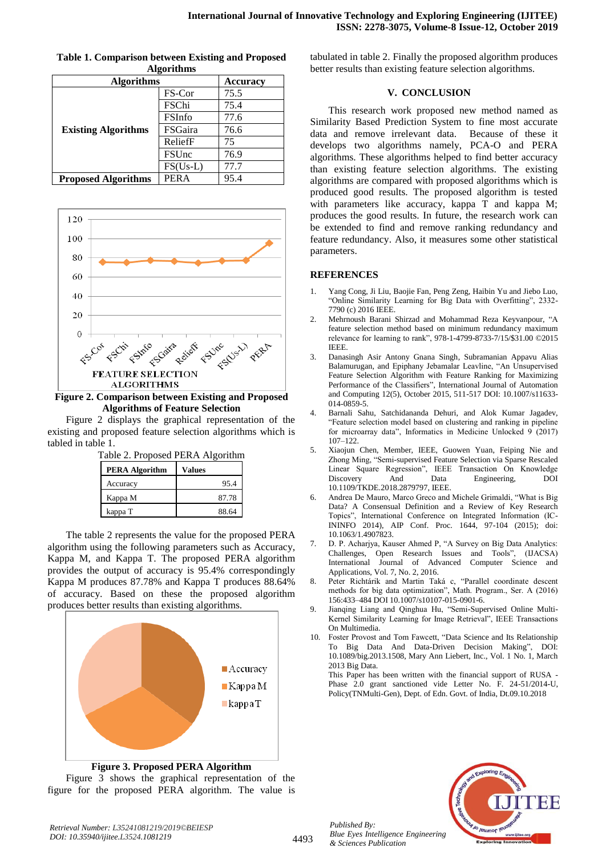| <b>Algorithms</b>          |               | <b>Accuracy</b> |
|----------------------------|---------------|-----------------|
|                            | FS-Cor        | 75.5            |
|                            | FSChi         | 75.4            |
| <b>Existing Algorithms</b> | <b>FSInfo</b> | 77.6            |
|                            | FSGaira       | 76.6            |
|                            | ReliefF       | 75              |
|                            | <b>FSUnc</b>  | 76.9            |
|                            | $FS(Us-L)$    | 77.7            |
| <b>Proposed Algorithms</b> | <b>PERA</b>   | 95.4            |

**Table 1. Comparison between Existing and Proposed Algorithms**



**Figure 2. Comparison between Existing and Proposed Algorithms of Feature Selection**

Figure 2 displays the graphical representation of the existing and proposed feature selection algorithms which is tabled in table 1.  $T_{\text{a}}$ ble 2. Proposed PEPA Algorithm

| I abie 2. Proposed PERA Algorithm |        |  |
|-----------------------------------|--------|--|
| <b>PERA Algorithm</b>             | Values |  |
| Accuracy                          | 95.4   |  |
| Kappa M                           | 87.78  |  |
| kappa T                           | 88.64  |  |

The table 2 represents the value for the proposed PERA algorithm using the following parameters such as Accuracy, Kappa M, and Kappa T. The proposed PERA algorithm provides the output of accuracy is 95.4% correspondingly Kappa M produces 87.78% and Kappa T produces 88.64% of accuracy. Based on these the proposed algorithm produces better results than existing algorithms.



**Figure 3. Proposed PERA Algorithm** Figure 3 shows the graphical representation of the figure for the proposed PERA algorithm. The value is

tabulated in table 2. Finally the proposed algorithm produces better results than existing feature selection algorithms.

#### **V. CONCLUSION**

This research work proposed new method named as Similarity Based Prediction System to fine most accurate data and remove irrelevant data. Because of these it develops two algorithms namely, PCA-O and PERA algorithms. These algorithms helped to find better accuracy than existing feature selection algorithms. The existing algorithms are compared with proposed algorithms which is produced good results. The proposed algorithm is tested with parameters like accuracy, kappa T and kappa M; produces the good results. In future, the research work can be extended to find and remove ranking redundancy and feature redundancy. Also, it measures some other statistical parameters.

# **REFERENCES**

- 1. Yang Cong, Ji Liu, Baojie Fan, Peng Zeng, Haibin Yu and Jiebo Luo, "Online Similarity Learning for Big Data with Overfitting", 2332- 7790 (c) 2016 IEEE.
- 2. Mehrnoush Barani Shirzad and Mohammad Reza Keyvanpour, "A feature selection method based on minimum redundancy maximum relevance for learning to rank", 978-1-4799-8733-7/15/\$31.00 ©2015 IEEE.
- 3. Danasingh Asir Antony Gnana Singh, Subramanian Appavu Alias Balamurugan, and Epiphany Jebamalar Leavline, "An Unsupervised Feature Selection Algorithm with Feature Ranking for Maximizing Performance of the Classifiers", International Journal of Automation and Computing 12(5), October 2015, 511-517 DOI: 10.1007/s11633- 014-0859-5.
- 4. Barnali Sahu, Satchidananda Dehuri, and Alok Kumar Jagadev, "Feature selection model based on clustering and ranking in pipeline for microarray data", Informatics in Medicine Unlocked 9 (2017) 107–122.
- 5. Xiaojun Chen, Member, IEEE, Guowen Yuan, Feiping Nie and Zhong Ming, "Semi-supervised Feature Selection via Sparse Rescaled Linear Square Regression", IEEE Transaction On Knowledge And Data Engineering, DOI 10.1109/TKDE.2018.2879797, IEEE.
- 6. Andrea De Mauro, Marco Greco and Michele Grimaldi, "What is Big Data? A Consensual Definition and a Review of Key Research Topics", International Conference on Integrated Information (IC-ININFO 2014), AIP Conf. Proc. 1644, 97-104 (2015); doi: 10.1063/1.4907823.
- 7. D. P. Acharjya, Kauser Ahmed P, "A Survey on Big Data Analytics: Challenges, Open Research Issues and Tools", (IJACSA) International Journal of Advanced Computer Science and Applications, Vol. 7, No. 2, 2016.
- 8. Peter Richtárik and Martin Taká c, "Parallel coordinate descent methods for big data optimization", Math. Program., Ser. A (2016) 156:433–484 DOI 10.1007/s10107-015-0901-6.
- 9. Jianqing Liang and Qinghua Hu, "Semi-Supervised Online Multi-Kernel Similarity Learning for Image Retrieval", IEEE Transactions On Multimedia.
- 10. Foster Provost and Tom Fawcett, "Data Science and Its Relationship To Big Data And Data-Driven Decision Making", DOI: 10.1089/big.2013.1508, Mary Ann Liebert, Inc., Vol. 1 No. 1, March 2013 Big Data.

This Paper has been written with the financial support of RUSA - Phase 2.0 grant sanctioned vide Letter No. F. 24-51/2014-U, Policy(TNMulti-Gen), Dept. of Edn. Govt. of India, Dt.09.10.2018



*Retrieval Number: L35241081219/2019©BEIESP DOI: 10.35940/ijitee.L3524.1081219*